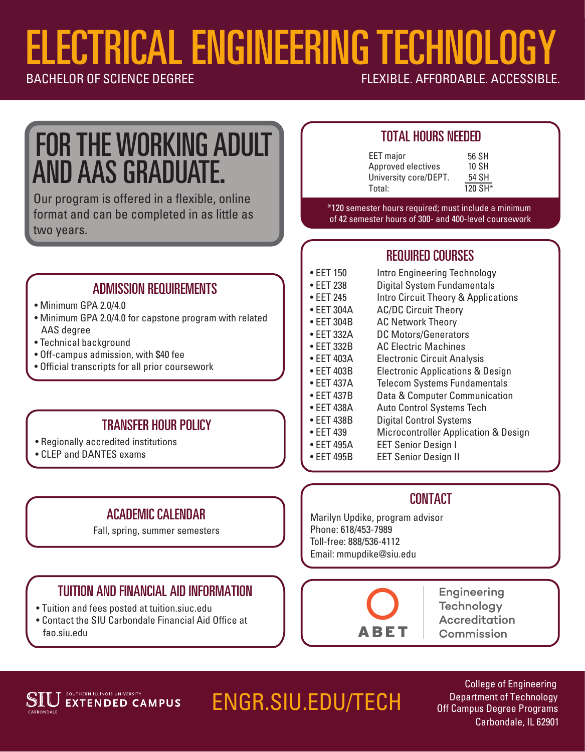# ELECTRICAL ENGINEERING TECHNOLOGY<br>BACHELOR OF SCIENCE DEGREE

FLEXIBLE, AFFORDABLE, ACCESSIBLE.

## FOR THE WORKING ADULT AND AAS GRADUATE.

Our program is offered in a flexible, online format and can be completed in as little as two years.

#### ADMISSION REQUIREMENTS

• Minimum GPA 2.0/4.0

Ī

- Minimum GPA 2.0/4.0 for capstone program with related AAS degree
- Technical background
- Off-campus admission, with \$40 fee
- Official transcripts for all prior coursework

#### TRANSFER HOUR POLICY

- Regionally accredited institutions
- CLEP and DANTES exams

## ACADEMIC CALENDAR

Fall, spring, summer semesters

#### TUITION AND FINANCIAL AID INFORMATION

- Tuition and fees posted at tuition.siuc.edu
- Contact the SIU Carbondale Financial Aid Office at fao.siu.edu

#### TOTAL HOURS NEEDED

| <b>EET</b> major      | 56 SH   |
|-----------------------|---------|
| Approved electives    | 10 SH   |
| University core/DEPT. | 54 SH   |
| Total:                | 120 SH* |
|                       |         |

\*120 semester hours required; must include a minimum of 42 semester hours of 300- and 400-level coursework

### REQUIRED COURSES

- EET 150 Intro Engineering Technology
- EET 238 Digital System Fundamentals
- EET 245 Intro Circuit Theory & Applications
- EET 304A AC/DC Circuit Theory
- EET 304B AC Network Theory
- EET 332A DC Motors/Generators
- EET 332B AC Electric Machines
- EET 403A Electronic Circuit Analysis
- EET 403B Electronic Applications & Design
- EET 437A Telecom Systems Fundamentals
- EET 437B Data & Computer Communication
- EET 438A Auto Control Systems Tech
- EET 438B Digital Control Systems
- EET 439 Microcontroller Application & Design
- EET 495A EET Senior Design I
- EET 495B EET Senior Design II

#### **CONTACT**

 Phone: 618/453-7989 Marilyn Updike, program advisor Toll-free: 888/536-4112 Email: mmupdike@siu.edu



**Engineering Technology Accreditation** Commission



## ENGR.SIU.EDU/TECH

College of Engineering Department of Technology Off Campus Degree Programs Carbondale, IL 62901